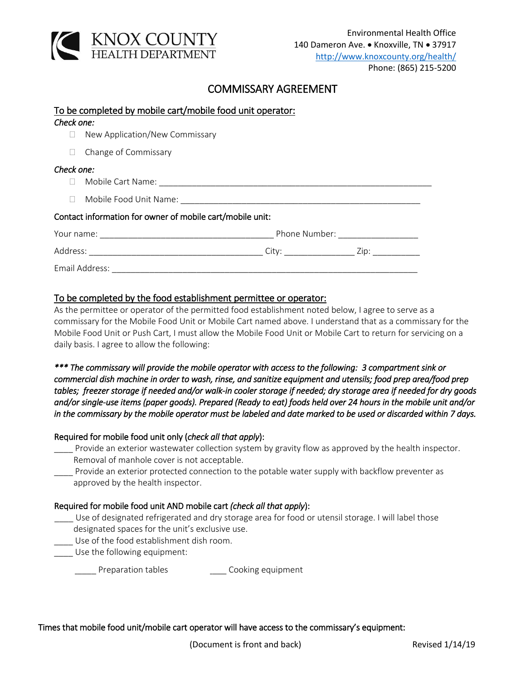

## COMMISSARY AGREEMENT

|            | To be completed by mobile cart/mobile food unit operator:                                                                                                                                                                     |
|------------|-------------------------------------------------------------------------------------------------------------------------------------------------------------------------------------------------------------------------------|
| Check one: |                                                                                                                                                                                                                               |
| $\Box$     | New Application/New Commissary                                                                                                                                                                                                |
| $\Box$     | Change of Commissary                                                                                                                                                                                                          |
| Check one: |                                                                                                                                                                                                                               |
|            |                                                                                                                                                                                                                               |
|            |                                                                                                                                                                                                                               |
|            | Contact information for owner of mobile cart/mobile unit:                                                                                                                                                                     |
|            | Phone Number: The contract of the contract of the contract of the contract of the contract of the contract of the contract of the contract of the contract of the contract of the contract of the contract of the contract of |
|            |                                                                                                                                                                                                                               |
|            |                                                                                                                                                                                                                               |

## To be completed by the food establishment permittee or operator:

As the permittee or operator of the permitted food establishment noted below, I agree to serve as a commissary for the Mobile Food Unit or Mobile Cart named above. I understand that as a commissary for the Mobile Food Unit or Push Cart, I must allow the Mobile Food Unit or Mobile Cart to return for servicing on a daily basis. I agree to allow the following:

*\*\*\* The commissary will provide the mobile operator with access to the following: 3 compartment sink or commercial dish machine in order to wash, rinse, and sanitize equipment and utensils; food prep area/food prep tables; freezer storage if needed and/or walk-in cooler storage if needed; dry storage area if needed for dry goods and/or single-use items (paper goods). Prepared (Ready to eat) foods held over 24 hours in the mobile unit and/or in the commissary by the mobile operator must be labeled and date marked to be used or discarded within 7 days.* 

## Required for mobile food unit only (*check all that apply*):

- \_\_\_\_ Provide an exterior wastewater collection system by gravity flow as approved by the health inspector. Removal of manhole cover is not acceptable.
- \_\_\_\_ Provide an exterior protected connection to the potable water supply with backflow preventer as approved by the health inspector.

## Required for mobile food unit AND mobile cart *(check all that apply*):

- Use of designated refrigerated and dry storage area for food or utensil storage. I will label those designated spaces for the unit's exclusive use.
- Use of the food establishment dish room.
- \_\_\_\_ Use the following equipment:

Preparation tables *Aucher Cooking equipment* 

Times that mobile food unit/mobile cart operator will have access to the commissary's equipment: